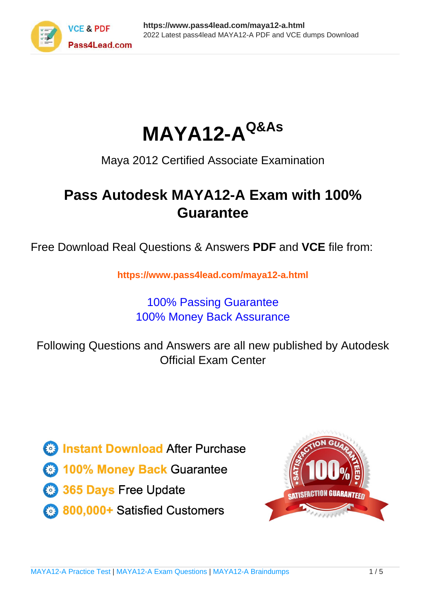

**MAYA12-AQ&As**

Maya 2012 Certified Associate Examination

# **Pass Autodesk MAYA12-A Exam with 100% Guarantee**

Free Download Real Questions & Answers **PDF** and **VCE** file from:

**https://www.pass4lead.com/maya12-a.html**

# 100% Passing Guarantee 100% Money Back Assurance

Following Questions and Answers are all new published by Autodesk Official Exam Center

**63 Instant Download After Purchase** 

**@ 100% Money Back Guarantee** 

- 365 Days Free Update
- 800,000+ Satisfied Customers

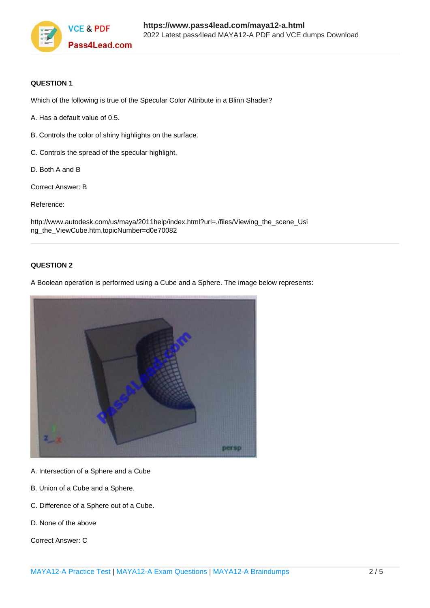

## **QUESTION 1**

Which of the following is true of the Specular Color Attribute in a Blinn Shader?

- A. Has a default value of 0.5.
- B. Controls the color of shiny highlights on the surface.
- C. Controls the spread of the specular highlight.
- D. Both A and B
- Correct Answer: B

Reference:

http://www.autodesk.com/us/maya/2011help/index.html?url=./files/Viewing\_the\_scene\_Usi ng\_the\_ViewCube.htm,topicNumber=d0e70082

### **QUESTION 2**

A Boolean operation is performed using a Cube and a Sphere. The image below represents:



- A. Intersection of a Sphere and a Cube
- B. Union of a Cube and a Sphere.
- C. Difference of a Sphere out of a Cube.
- D. None of the above

Correct Answer: C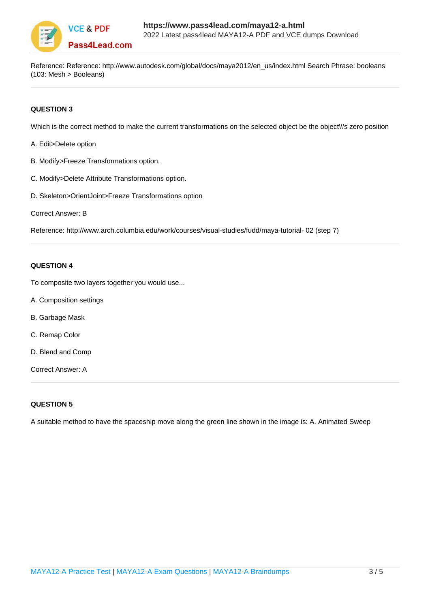

Reference: Reference: http://www.autodesk.com/global/docs/maya2012/en\_us/index.html Search Phrase: booleans (103: Mesh > Booleans)

## **QUESTION 3**

Which is the correct method to make the current transformations on the selected object be the object\\'s zero position

- A. Edit>Delete option
- B. Modify>Freeze Transformations option.
- C. Modify>Delete Attribute Transformations option.
- D. Skeleton>OrientJoint>Freeze Transformations option

```
Correct Answer: B
```
Reference: http://www.arch.columbia.edu/work/courses/visual-studies/fudd/maya-tutorial- 02 (step 7)

### **QUESTION 4**

To composite two layers together you would use...

- A. Composition settings
- B. Garbage Mask
- C. Remap Color
- D. Blend and Comp

Correct Answer: A

#### **QUESTION 5**

A suitable method to have the spaceship move along the green line shown in the image is: A. Animated Sweep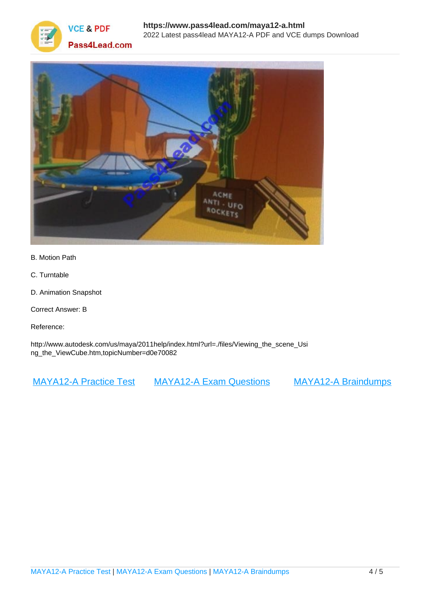



- B. Motion Path
- C. Turntable
- D. Animation Snapshot
- Correct Answer: B
- Reference:

http://www.autodesk.com/us/maya/2011help/index.html?url=./files/Viewing\_the\_scene\_Usi ng\_the\_ViewCube.htm,topicNumber=d0e70082

[MAYA12-A Practice Test](https://www.pass4lead.com/maya12-a.html) [MAYA12-A Exam Questions](https://www.pass4lead.com/maya12-a.html) [MAYA12-A Braindumps](https://www.pass4lead.com/maya12-a.html)